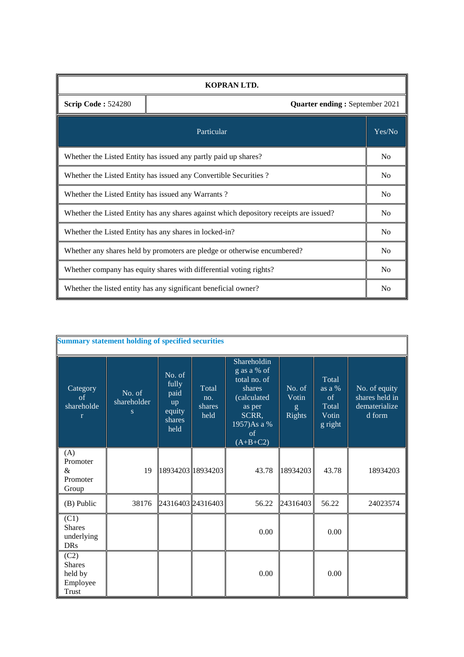| KOPRAN LTD.                                                                            |                                                                 |    |  |  |  |  |
|----------------------------------------------------------------------------------------|-----------------------------------------------------------------|----|--|--|--|--|
| <b>Scrip Code: 524280</b><br><b>Quarter ending: September 2021</b>                     |                                                                 |    |  |  |  |  |
| Particular                                                                             |                                                                 |    |  |  |  |  |
| Whether the Listed Entity has issued any partly paid up shares?                        |                                                                 |    |  |  |  |  |
| Whether the Listed Entity has issued any Convertible Securities?                       |                                                                 |    |  |  |  |  |
| Whether the Listed Entity has issued any Warrants?                                     |                                                                 |    |  |  |  |  |
| Whether the Listed Entity has any shares against which depository receipts are issued? |                                                                 |    |  |  |  |  |
| Whether the Listed Entity has any shares in locked-in?                                 |                                                                 |    |  |  |  |  |
| Whether any shares held by promoters are pledge or otherwise encumbered?               |                                                                 |    |  |  |  |  |
| Whether company has equity shares with differential voting rights?                     |                                                                 |    |  |  |  |  |
|                                                                                        | Whether the listed entity has any significant beneficial owner? | No |  |  |  |  |

| <b>Summary statement holding of specified securities</b>     |                            |                                                           |                                |                                                                                                                            |                                       |                                                    |                                                            |  |
|--------------------------------------------------------------|----------------------------|-----------------------------------------------------------|--------------------------------|----------------------------------------------------------------------------------------------------------------------------|---------------------------------------|----------------------------------------------------|------------------------------------------------------------|--|
| Category<br>of<br>shareholde<br>r                            | No. of<br>shareholder<br>S | No. of<br>fully<br>paid<br>up<br>equity<br>shares<br>held | Total<br>no.<br>shares<br>held | Shareholdin<br>g as a % of<br>total no. of<br>shares<br>(calculated<br>as per<br>SCRR,<br>1957) As a %<br>of<br>$(A+B+C2)$ | No. of<br>Votin<br>g<br><b>Rights</b> | Total<br>as a %<br>of<br>Total<br>Votin<br>g right | No. of equity<br>shares held in<br>dematerialize<br>d form |  |
| (A)<br>Promoter<br>&<br>Promoter<br>Group                    | 19                         |                                                           | 18934203  18934203             | 43.78                                                                                                                      | 18934203                              | 43.78                                              | 18934203                                                   |  |
| (B) Public                                                   | 38176                      |                                                           | 24316403 24316403              | 56.22                                                                                                                      | 24316403                              | 56.22                                              | 24023574                                                   |  |
| (C1)<br><b>Shares</b><br>underlying<br><b>DRs</b>            |                            |                                                           |                                | 0.00                                                                                                                       |                                       | 0.00                                               |                                                            |  |
| (C2)<br><b>Shares</b><br>held by<br>Employee<br><b>Trust</b> |                            |                                                           |                                | 0.00                                                                                                                       |                                       | 0.00                                               |                                                            |  |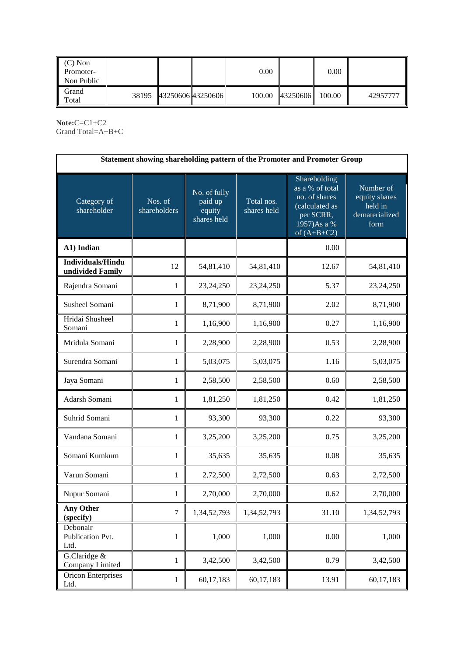| $(C)$ Non<br>Promoter-<br>Non Public |                         | 0.00   |          | 0.00   |          |
|--------------------------------------|-------------------------|--------|----------|--------|----------|
| Grand<br>Total                       | 38195 43250606 43250606 | 100.00 | 43250606 | 100.00 | 42957777 |

**Note:**C=C1+C2 Grand Total=A+B+C

| Statement showing shareholding pattern of the Promoter and Promoter Group |                         |                                                  |                           |                                                                                                                 |                                                                 |  |  |  |
|---------------------------------------------------------------------------|-------------------------|--------------------------------------------------|---------------------------|-----------------------------------------------------------------------------------------------------------------|-----------------------------------------------------------------|--|--|--|
| Category of<br>shareholder                                                | Nos. of<br>shareholders | No. of fully<br>paid up<br>equity<br>shares held | Total nos.<br>shares held | Shareholding<br>as a % of total<br>no. of shares<br>(calculated as<br>per SCRR,<br>1957)As a %<br>of $(A+B+C2)$ | Number of<br>equity shares<br>held in<br>dematerialized<br>form |  |  |  |
| A1) Indian                                                                |                         |                                                  |                           | 0.00                                                                                                            |                                                                 |  |  |  |
| <b>Individuals/Hindu</b><br>undivided Family                              | 12                      | 54,81,410                                        | 54,81,410                 | 12.67                                                                                                           | 54,81,410                                                       |  |  |  |
| Rajendra Somani                                                           | $\mathbf{1}$            | 23,24,250                                        | 23,24,250                 | 5.37                                                                                                            | 23,24,250                                                       |  |  |  |
| Susheel Somani                                                            | $\mathbf{1}$            | 8,71,900                                         | 8,71,900                  | 2.02                                                                                                            | 8,71,900                                                        |  |  |  |
| Hridai Shusheel<br>Somani                                                 | $\mathbf{1}$            | 1,16,900                                         | 1,16,900                  | 0.27                                                                                                            | 1,16,900                                                        |  |  |  |
| Mridula Somani                                                            | $\mathbf{1}$            | 2,28,900                                         | 2,28,900                  | 0.53                                                                                                            | 2,28,900                                                        |  |  |  |
| Surendra Somani                                                           | $\mathbf{1}$            | 5,03,075                                         | 5,03,075                  | 1.16                                                                                                            | 5,03,075                                                        |  |  |  |
| Jaya Somani                                                               | 1                       | 2,58,500                                         | 2,58,500                  | 0.60                                                                                                            | 2,58,500                                                        |  |  |  |
| Adarsh Somani                                                             | $\mathbf{1}$            | 1,81,250                                         | 1,81,250                  | 0.42                                                                                                            | 1,81,250                                                        |  |  |  |
| Suhrid Somani                                                             | 1                       | 93,300                                           | 93,300                    | 0.22                                                                                                            | 93,300                                                          |  |  |  |
| Vandana Somani                                                            | 1                       | 3,25,200                                         | 3,25,200                  | 0.75                                                                                                            | 3,25,200                                                        |  |  |  |
| Somani Kumkum                                                             | $\mathbf{1}$            | 35,635                                           | 35,635                    | 0.08                                                                                                            | 35,635                                                          |  |  |  |
| Varun Somani                                                              | 1                       | 2,72,500                                         | 2,72,500                  | 0.63                                                                                                            | 2,72,500                                                        |  |  |  |
| Nupur Somani                                                              | $\mathbf{1}$            | 2,70,000                                         | 2,70,000                  | 0.62                                                                                                            | 2,70,000                                                        |  |  |  |
| <b>Any Other</b><br>(specify)                                             | $\tau$                  | 1,34,52,793                                      | 1,34,52,793               | 31.10                                                                                                           | 1,34,52,793                                                     |  |  |  |
| Debonair<br>Publication Pvt.<br>Ltd.                                      | $\mathbf{1}$            | 1,000                                            | 1,000                     | 0.00                                                                                                            | 1,000                                                           |  |  |  |
| G.Claridge &<br>Company Limited                                           | $\mathbf{1}$            | 3,42,500                                         | 3,42,500                  | 0.79                                                                                                            | 3,42,500                                                        |  |  |  |
| <b>Oricon Enterprises</b><br>Ltd.                                         | $\mathbf{1}$            | 60,17,183                                        | 60,17,183                 | 13.91                                                                                                           | 60,17,183                                                       |  |  |  |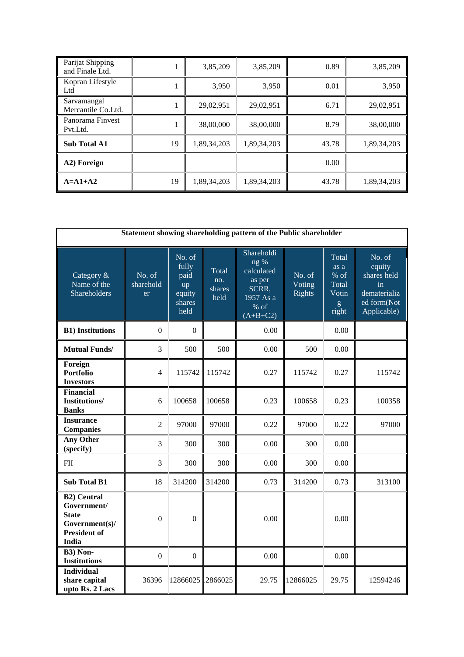| Parijat Shipping<br>and Finale Ltd. |    | 3,85,209    | 3,85,209    | 0.89  | 3,85,209    |
|-------------------------------------|----|-------------|-------------|-------|-------------|
| Kopran Lifestyle<br>Ltd             |    | 3,950       | 3,950       | 0.01  | 3,950       |
| Sarvamangal<br>Mercantile Co.Ltd.   |    | 29,02,951   | 29,02,951   | 6.71  | 29,02,951   |
| Panorama Finvest<br>Pvt.Ltd.        |    | 38,00,000   | 38,00,000   | 8.79  | 38,00,000   |
| <b>Sub Total A1</b>                 | 19 | 1,89,34,203 | 1,89,34,203 | 43.78 | 1,89,34,203 |
| A2) Foreign                         |    |             |             | 0.00  |             |
| $A = A1 + A2$                       | 19 | 1,89,34,203 | 1,89,34,203 | 43.78 | 1,89,34,203 |

| Statement showing shareholding pattern of the Public shareholder                                    |                           |                                                           |                                |                                                                                          |                                   |                                                       |                                                                                     |
|-----------------------------------------------------------------------------------------------------|---------------------------|-----------------------------------------------------------|--------------------------------|------------------------------------------------------------------------------------------|-----------------------------------|-------------------------------------------------------|-------------------------------------------------------------------------------------|
| Category &<br>Name of the<br>Shareholders                                                           | No. of<br>sharehold<br>er | No. of<br>fully<br>paid<br>up<br>equity<br>shares<br>held | Total<br>no.<br>shares<br>held | Shareholdi<br>$ng\%$<br>calculated<br>as per<br>SCRR.<br>1957 As a<br>% of<br>$(A+B+C2)$ | No. of<br>Voting<br><b>Rights</b> | Total<br>as a<br>% of<br>Total<br>Votin<br>g<br>right | No. of<br>equity<br>shares held<br>in<br>dematerializ<br>ed form(Not<br>Applicable) |
| <b>B1)</b> Institutions                                                                             | $\overline{0}$            | $\overline{0}$                                            |                                | 0.00                                                                                     |                                   | 0.00                                                  |                                                                                     |
| <b>Mutual Funds/</b>                                                                                | 3                         | 500                                                       | 500                            | 0.00                                                                                     | 500                               | 0.00                                                  |                                                                                     |
| Foreign<br><b>Portfolio</b><br><b>Investors</b>                                                     | $\overline{4}$            | 115742                                                    | 115742                         | 0.27                                                                                     | 115742                            | 0.27                                                  | 115742                                                                              |
| <b>Financial</b><br><b>Institutions/</b><br><b>Banks</b>                                            | 6                         | 100658                                                    | 100658                         | 0.23                                                                                     | 100658                            | 0.23                                                  | 100358                                                                              |
| <b>Insurance</b><br><b>Companies</b>                                                                | $\overline{2}$            | 97000                                                     | 97000                          | 0.22                                                                                     | 97000                             | 0.22                                                  | 97000                                                                               |
| <b>Any Other</b><br>(specify)                                                                       | 3                         | 300                                                       | 300                            | 0.00                                                                                     | 300                               | 0.00                                                  |                                                                                     |
| $\mathbf{F}\mathbf{I}\mathbf{I}$                                                                    | 3                         | 300                                                       | 300                            | 0.00                                                                                     | 300                               | 0.00                                                  |                                                                                     |
| <b>Sub Total B1</b>                                                                                 | 18                        | 314200                                                    | 314200                         | 0.73                                                                                     | 314200                            | 0.73                                                  | 313100                                                                              |
| <b>B2)</b> Central<br>Government/<br><b>State</b><br>Government(s)/<br><b>President of</b><br>India | $\mathbf{0}$              | $\mathbf{0}$                                              |                                | 0.00                                                                                     |                                   | 0.00                                                  |                                                                                     |
| B3) Non-<br><b>Institutions</b>                                                                     | $\boldsymbol{0}$          | $\mathbf{0}$                                              |                                | 0.00                                                                                     |                                   | 0.00                                                  |                                                                                     |
| <b>Individual</b><br>share capital<br>upto Rs. 2 Lacs                                               | 36396                     | 12866025                                                  | 2866025                        | 29.75                                                                                    | 12866025                          | 29.75                                                 | 12594246                                                                            |